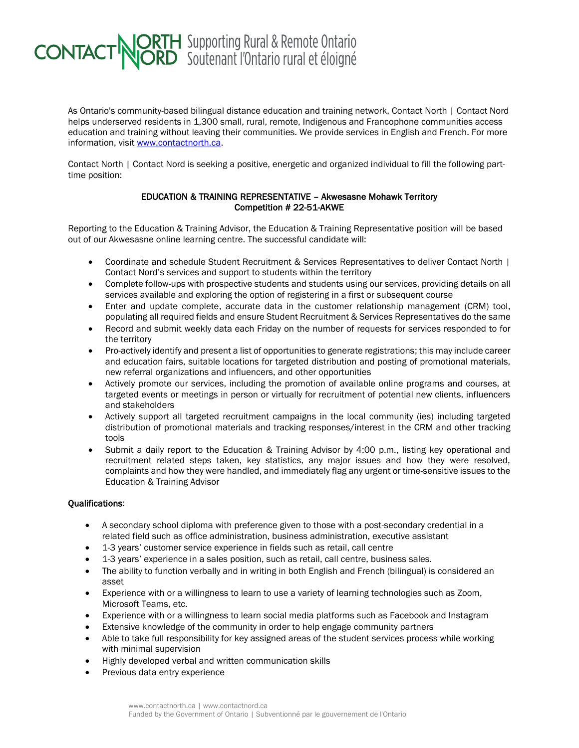## **CONTACT NORTH** Supporting Rural & Remote Ontario

As Ontario's community-based bilingual distance education and training network, Contact North | Contact Nord helps underserved residents in 1,300 small, rural, remote, Indigenous and Francophone communities access education and training without leaving their communities. We provide services in English and French. For more information, visit [www.contactnorth.ca.](http://www.contactnorth.ca/)

Contact North | Contact Nord is seeking a positive, energetic and organized individual to fill the following parttime position:

## EDUCATION & TRAINING REPRESENTATIVE – Akwesasne Mohawk Territory Competition # 22-51-AKWE

Reporting to the Education & Training Advisor, the Education & Training Representative position will be based out of our Akwesasne online learning centre. The successful candidate will:

- Coordinate and schedule Student Recruitment & Services Representatives to deliver Contact North | Contact Nord's services and support to students within the territory
- Complete follow-ups with prospective students and students using our services, providing details on all services available and exploring the option of registering in a first or subsequent course
- Enter and update complete, accurate data in the customer relationship management (CRM) tool, populating all required fields and ensure Student Recruitment & Services Representatives do the same
- Record and submit weekly data each Friday on the number of requests for services responded to for the territory
- Pro-actively identify and present a list of opportunities to generate registrations; this may include career and education fairs, suitable locations for targeted distribution and posting of promotional materials, new referral organizations and influencers, and other opportunities
- Actively promote our services, including the promotion of available online programs and courses, at targeted events or meetings in person or virtually for recruitment of potential new clients, influencers and stakeholders
- Actively support all targeted recruitment campaigns in the local community (ies) including targeted distribution of promotional materials and tracking responses/interest in the CRM and other tracking tools
- Submit a daily report to the Education & Training Advisor by 4:00 p.m., listing key operational and recruitment related steps taken, key statistics, any major issues and how they were resolved, complaints and how they were handled, and immediately flag any urgent or time-sensitive issues to the Education & Training Advisor

## Qualifications:

- A secondary school diploma with preference given to those with a post-secondary credential in a related field such as office administration, business administration, executive assistant
- 1-3 years' customer service experience in fields such as retail, call centre
- 1-3 years' experience in a sales position, such as retail, call centre, business sales.
- The ability to function verbally and in writing in both English and French (bilingual) is considered an asset
- Experience with or a willingness to learn to use a variety of learning technologies such as Zoom, Microsoft Teams, etc.
- Experience with or a willingness to learn social media platforms such as Facebook and Instagram
- Extensive knowledge of the community in order to help engage community partners
- Able to take full responsibility for key assigned areas of the student services process while working with minimal supervision
- Highly developed verbal and written communication skills
- Previous data entry experience